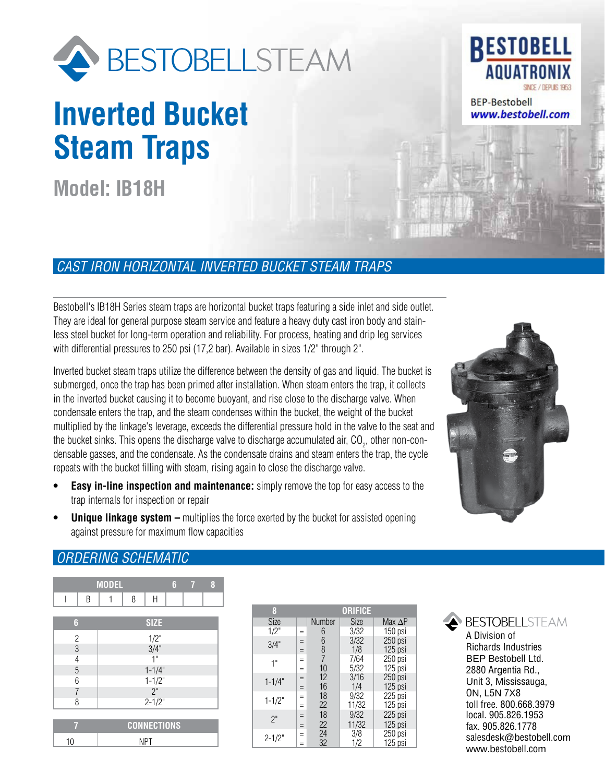

# **Inverted Bucket Steam Traps**

**Model: IB18H**

## **RESTOBELL ANIIATRO** SINCE / DEPUIS 1953

**BEP-Bestobell** www.bestobell.com

## *CAST IRON HORIZONTAL INVERTED BUCKET STEAM TRAPS*

Bestobell's IB18H Series steam traps are horizontal bucket traps featuring a side inlet and side outlet. They are ideal for general purpose steam service and feature a heavy duty cast iron body and stainless steel bucket for long-term operation and reliability. For process, heating and drip leg services with differential pressures to 250 psi (17,2 bar). Available in sizes 1/2" through 2".

Inverted bucket steam traps utilize the difference between the density of gas and liquid. The bucket is submerged, once the trap has been primed after installation. When steam enters the trap, it collects in the inverted bucket causing it to become buoyant, and rise close to the discharge valve. When condensate enters the trap, and the steam condenses within the bucket, the weight of the bucket multiplied by the linkage's leverage, exceeds the differential pressure hold in the valve to the seat and the bucket sinks. This opens the discharge valve to discharge accumulated air, CO<sub>2</sub>, other non-condensable gasses, and the condensate. As the condensate drains and steam enters the trap, the cycle repeats with the bucket filling with steam, rising again to close the discharge valve.

- **Easy in-line inspection and maintenance:** simply remove the top for easy access to the trap internals for inspection or repair
- **Unique linkage system –** multiplies the force exerted by the bucket for assisted opening against pressure for maximum flow capacities



### *ORDERING SCHEMATIC*

|                          | <b>MODEL</b>       | 6    | 8<br>7 |  |  |  |  |  |
|--------------------------|--------------------|------|--------|--|--|--|--|--|
| Β                        | 8<br>1             | H    |        |  |  |  |  |  |
| 6                        | <b>SIZE</b>        |      |        |  |  |  |  |  |
| $\overline{c}$           |                    | 1/2" |        |  |  |  |  |  |
| $\mathfrak{B}$           |                    | 3/4" |        |  |  |  |  |  |
| $\overline{\mathcal{L}}$ |                    | 1"   |        |  |  |  |  |  |
| 5                        | $1 - 1/4"$         |      |        |  |  |  |  |  |
| 6                        | $1 - 1/2"$         |      |        |  |  |  |  |  |
| 7                        | 2"                 |      |        |  |  |  |  |  |
| 8                        | $2 - 1/2"$         |      |        |  |  |  |  |  |
|                          |                    |      |        |  |  |  |  |  |
| v.                       | <b>CONNECTIONS</b> |      |        |  |  |  |  |  |
| 10                       | <b>NPT</b>         |      |        |  |  |  |  |  |

| 8          |     |        | <b>ORIFICE</b> |                |
|------------|-----|--------|----------------|----------------|
| Size       |     | Number | Size           | Max $\Delta P$ |
| 1/2"       | $=$ | 6      | 3/32           | 150 psi        |
| 3/4"       | $=$ | 6      | 3/32           | 250 psi        |
|            | $=$ | 8      | 1/8            | 125 psi        |
| 1"         | $=$ | 7      | 7/64           | 250 psi        |
|            | $=$ | 10     | 5/32           | 125 psi        |
| $1 - 1/4"$ | $=$ | 12     | 3/16           | $250$ psi      |
|            | $=$ | 16     | 1/4            | 125 psi        |
| $1 - 1/2"$ | $=$ | 18     | 9/32           | 225 psi        |
|            | $=$ | 22     | 11/32          | 125 psi        |
| 2"         | $=$ | 18     | 9/32           | 225 psi        |
|            | $=$ | 22     | 11/32          | $125$ psi      |
| $2 - 1/2"$ | $=$ | 24     | 3/8            | 250 psi        |
|            | $=$ | 32     | 1/2            | 125 psi        |



A Division of Richards Industries BEP Bestobell Ltd. 2880 Argentia Rd., Unit 3, Mississauga, ON, L5N 7X8 toll free. 800.668.3979 local. 905.826.1953 fax. 905.826.1778 salesdesk@bestobell.com www.bestobell.com